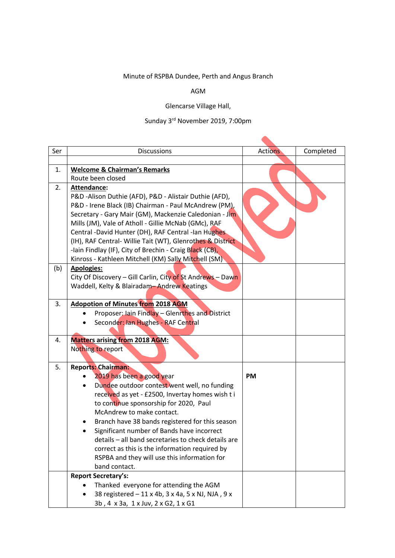## Minute of RSPBA Dundee, Perth and Angus Branch

## AGM

## Glencarse Village Hall,

## Sunday 3rd November 2019, 7:00pm

 $\blacktriangle$ 

| Ser | <b>Discussions</b>                                                                                       | <b>Actions</b> | Completed |
|-----|----------------------------------------------------------------------------------------------------------|----------------|-----------|
|     |                                                                                                          |                |           |
| 1.  | <b>Welcome &amp; Chairman's Remarks</b>                                                                  |                |           |
|     | Route been closed                                                                                        |                |           |
| 2.  | Attendance:                                                                                              |                |           |
|     | P&D -Alison Duthie (AFD), P&D - Alistair Duthie (AFD),                                                   |                |           |
|     | P&D - Irene Black (IB) Chairman - Paul McAndrew (PM),                                                    |                |           |
|     | Secretary - Gary Mair (GM), Mackenzie Caledonian - Jim                                                   |                |           |
|     | Mills (JM), Vale of Atholl - Gillie McNab (GMc), RAF                                                     |                |           |
|     | Central -David Hunter (DH), RAF Central -Ian Hughes                                                      |                |           |
|     | (IH), RAF Central- Willie Tait (WT), Glenrothes & District                                               |                |           |
|     | -lain Findlay (IF), City of Brechin - Craig Black (CB),                                                  |                |           |
|     | Kinross - Kathleen Mitchell (KM) Sally Mitchell (SM)                                                     |                |           |
| (b) | <b>Apologies:</b>                                                                                        |                |           |
|     | City Of Discovery - Gill Carlin, City of St Andrews - Dawn<br>Waddell, Kelty & Blairadam-Andrew Keatings |                |           |
|     |                                                                                                          |                |           |
| 3.  | <b>Adopotion of Minutes from 2018 AGM</b>                                                                |                |           |
|     | Proposer: Jain Findlay - Glenrthes and District                                                          |                |           |
|     | Seconder: Ian Hughes - RAF Central                                                                       |                |           |
|     |                                                                                                          |                |           |
| 4.  | <b>Matters arising from 2018 AGM:</b>                                                                    |                |           |
|     | Nothing to report                                                                                        |                |           |
|     |                                                                                                          |                |           |
| 5.  | <b>Reports: Chairman:</b>                                                                                |                |           |
|     | 2019 has been a good year                                                                                | PM             |           |
|     | Dundee outdoor contest went well, no funding                                                             |                |           |
|     | received as yet - £2500, Invertay homes wish t i                                                         |                |           |
|     | to continue sponsorship for 2020, Paul<br>McAndrew to make contact.                                      |                |           |
|     | Branch have 38 bands registered for this season                                                          |                |           |
|     | Significant number of Bands have incorrect                                                               |                |           |
|     | details - all band secretaries to check details are                                                      |                |           |
|     | correct as this is the information required by                                                           |                |           |
|     | RSPBA and they will use this information for                                                             |                |           |
|     | band contact.                                                                                            |                |           |
|     | <b>Report Secretary's:</b>                                                                               |                |           |
|     | Thanked everyone for attending the AGM                                                                   |                |           |
|     | 38 registered - 11 x 4b, 3 x 4a, 5 x NJ, NJA, 9 x                                                        |                |           |
|     | 3b, 4 x 3a, 1 x Juv, 2 x G2, 1 x G1                                                                      |                |           |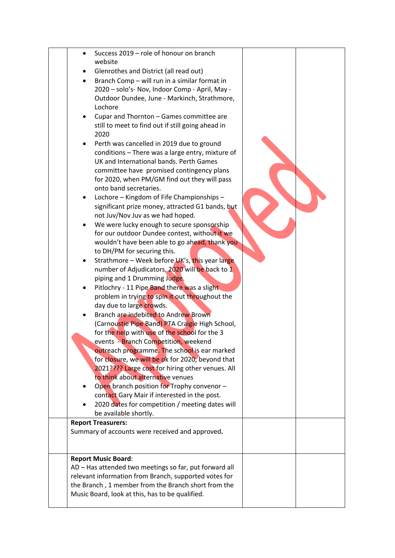| $\bullet$ | Success 2019 - role of honour on branch                                      |  |
|-----------|------------------------------------------------------------------------------|--|
|           | website                                                                      |  |
|           | Glenrothes and District (all read out)                                       |  |
| ٠         | Branch Comp - will run in a similar format in                                |  |
|           | 2020 - solo's- Nov, Indoor Comp - April, May -                               |  |
|           | Outdoor Dundee, June - Markinch, Strathmore,                                 |  |
|           | Lochore                                                                      |  |
|           | Cupar and Thornton - Games committee are                                     |  |
|           | still to meet to find out if still going ahead in                            |  |
|           | 2020                                                                         |  |
|           | Perth was cancelled in 2019 due to ground                                    |  |
|           | conditions - There was a large entry, mixture of                             |  |
|           | UK and International bands. Perth Games                                      |  |
|           | committee have promised contingency plans                                    |  |
|           | for 2020, when PM/GM find out they will pass<br>onto band secretaries.       |  |
|           | Lochore - Kingdom of Fife Championships -                                    |  |
|           | significant prize money, attracted G1 bands, but                             |  |
|           | not Juv/Nov Juv as we had hoped.                                             |  |
|           | We were lucky enough to secure sponsorship                                   |  |
|           | for our outdoor Dundee contest, without it we                                |  |
|           | wouldn't have been able to go ahead, thank you                               |  |
|           | to DH/PM for securing this.                                                  |  |
|           | Strathmore - Week before UK's, this year large                               |  |
|           | number of Adjudicators, 2020 will be back to 1                               |  |
|           | piping and 1 Drumming Judge.                                                 |  |
|           | Pitlochry - 11 Pipe Band there was a slight.                                 |  |
|           | problem in trying to spin it out throughout the                              |  |
|           | day due to large crowds.                                                     |  |
|           | Branch are indebited to Andrew Brown                                         |  |
|           | (Carnoustie Pipe Band) PTA Craigie High School,                              |  |
|           | for the help with use of the school for the 3                                |  |
|           | events - Branch Competition, weekend                                         |  |
|           | outreach programme. The school is ear marked                                 |  |
|           | for closure, we will be ok for 2020, beyond that                             |  |
|           | 2021???? Large cost for hiring other venues. All                             |  |
|           | to think about alternative venues                                            |  |
|           | Open branch position for Trophy convenor -                                   |  |
|           | contact Gary Mair if interested in the post.                                 |  |
|           | 2020 dates for competition / meeting dates will                              |  |
|           | be available shortly.                                                        |  |
|           | <b>Report Treasurers:</b><br>Summary of accounts were received and approved. |  |
|           |                                                                              |  |
|           |                                                                              |  |
|           | <b>Report Music Board:</b>                                                   |  |
|           | AD - Has attended two meetings so far, put forward all                       |  |
|           | relevant information from Branch, supported votes for                        |  |
|           | the Branch, 1 member from the Branch short from the                          |  |
|           | Music Board, look at this, has to be qualified.                              |  |
|           |                                                                              |  |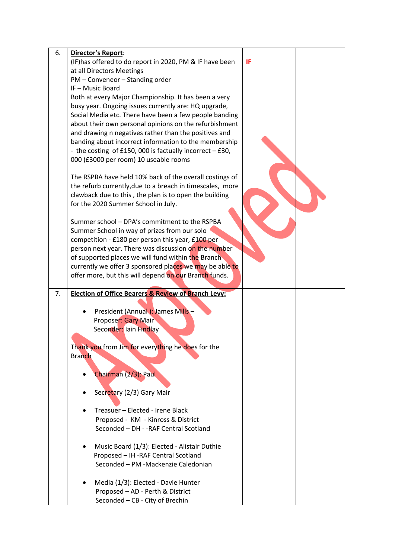| 6. | Director's Report:                                             |    |  |
|----|----------------------------------------------------------------|----|--|
|    | (IF) has offered to do report in 2020, PM & IF have been       | IF |  |
|    | at all Directors Meetings                                      |    |  |
|    | PM - Conveneor - Standing order                                |    |  |
|    | IF-Music Board                                                 |    |  |
|    | Both at every Major Championship. It has been a very           |    |  |
|    | busy year. Ongoing issues currently are: HQ upgrade,           |    |  |
|    | Social Media etc. There have been a few people banding         |    |  |
|    | about their own personal opinions on the refurbishment         |    |  |
|    | and drawing n negatives rather than the positives and          |    |  |
|    | banding about incorrect information to the membership          |    |  |
|    | - the costing of £150, 000 is factually incorrect - £30,       |    |  |
|    | 000 (£3000 per room) 10 useable rooms                          |    |  |
|    |                                                                |    |  |
|    | The RSPBA have held 10% back of the overall costings of        |    |  |
|    | the refurb currently, due to a breach in timescales, more      |    |  |
|    | clawback due to this, the plan is to open the building         |    |  |
|    | for the 2020 Summer School in July.                            |    |  |
|    |                                                                |    |  |
|    | Summer school - DPA's commitment to the RSPBA                  |    |  |
|    | Summer School in way of prizes from our solo                   |    |  |
|    | competition - £180 per person this year, £100 per              |    |  |
|    | person next year. There was discussion on the number           |    |  |
|    | of supported places we will fund within the Branch             |    |  |
|    | currently we offer 3 sponsored places we may be able to        |    |  |
|    | offer more, but this will depend on our Branch funds.          |    |  |
|    |                                                                |    |  |
| 7. | <b>Election of Office Bearers &amp; Review of Branch Levy:</b> |    |  |
|    |                                                                |    |  |
|    | President (Annual): James Mills-                               |    |  |
|    | Proposer: Gary Mair                                            |    |  |
|    | Seconder: Iain Findlay                                         |    |  |
|    |                                                                |    |  |
|    | Thank you from Jim for everything he does for the              |    |  |
|    | <b>Branch</b>                                                  |    |  |
|    |                                                                |    |  |
|    | Chairman (2/3): Paul                                           |    |  |
|    |                                                                |    |  |
|    | Secretary (2/3) Gary Mair                                      |    |  |
|    |                                                                |    |  |
|    | Treasuer - Elected - Irene Black                               |    |  |
|    | Proposed - KM - Kinross & District                             |    |  |
|    | Seconded - DH - - RAF Central Scotland                         |    |  |
|    |                                                                |    |  |
|    | Music Board (1/3): Elected - Alistair Duthie                   |    |  |
|    | Proposed - IH - RAF Central Scotland                           |    |  |
|    | Seconded - PM -Mackenzie Caledonian                            |    |  |
|    |                                                                |    |  |
|    | Media (1/3): Elected - Davie Hunter                            |    |  |
|    | Proposed - AD - Perth & District                               |    |  |
|    | Seconded - CB - City of Brechin                                |    |  |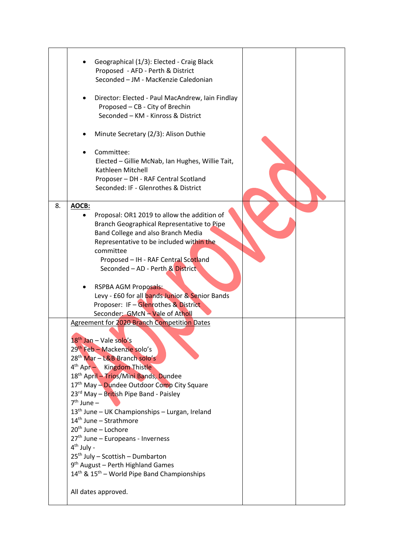|    | Geographical (1/3): Elected - Craig Black<br>Proposed - AFD - Perth & District<br>Seconded - JM - MacKenzie Caledonian<br>Director: Elected - Paul MacAndrew, Iain Findlay<br>Proposed - CB - City of Brechin<br>Seconded - KM - Kinross & District                                                                                                                                                                                                                                                                                                                                                                                                                                                                                 |  |
|----|-------------------------------------------------------------------------------------------------------------------------------------------------------------------------------------------------------------------------------------------------------------------------------------------------------------------------------------------------------------------------------------------------------------------------------------------------------------------------------------------------------------------------------------------------------------------------------------------------------------------------------------------------------------------------------------------------------------------------------------|--|
|    | Minute Secretary (2/3): Alison Duthie<br>Committee:<br>Elected - Gillie McNab, Ian Hughes, Willie Tait,<br>Kathleen Mitchell<br>Proposer - DH - RAF Central Scotland                                                                                                                                                                                                                                                                                                                                                                                                                                                                                                                                                                |  |
| 8. | Seconded: IF - Glenrothes & District<br>AOCB:                                                                                                                                                                                                                                                                                                                                                                                                                                                                                                                                                                                                                                                                                       |  |
|    | Proposal: OR1 2019 to allow the addition of<br>Branch Geographical Representative to Pipe<br>Band College and also Branch Media<br>Representative to be included within the<br>committee<br>Proposed - IH - RAF Central Scotland<br>Seconded - AD - Perth & District                                                                                                                                                                                                                                                                                                                                                                                                                                                                |  |
|    | <b>RSPBA AGM Proposals:</b><br>Levy - £60 for all bands Junior & Senior Bands<br>Proposer: IF - Glenrothes & District<br>Seconder: GMcN - Vale of Atholl                                                                                                                                                                                                                                                                                                                                                                                                                                                                                                                                                                            |  |
|    | Agreement for 2020 Branch Competition Dates<br>18 <sup>th</sup> Jan - Vale solo's<br>29th Feb - Mackenzie solo's<br>28 <sup>th</sup> Mar - L&B Branch solo's<br>4 <sup>th</sup> Apr - Kingdom Thistle<br>18th April - Trios/Mini Bands, Dundee<br>17 <sup>th</sup> May - Dundee Outdoor Comp City Square<br>23rd May - British Pipe Band - Paisley<br>$7th$ June $-$<br>13 <sup>th</sup> June - UK Championships - Lurgan, Ireland<br>$14th$ June – Strathmore<br>$20th$ June – Lochore<br>27 <sup>th</sup> June - Europeans - Inverness<br>$4th$ July -<br>25 <sup>th</sup> July - Scottish - Dumbarton<br>9 <sup>th</sup> August - Perth Highland Games<br>$14th$ & $15th$ – World Pipe Band Championships<br>All dates approved. |  |